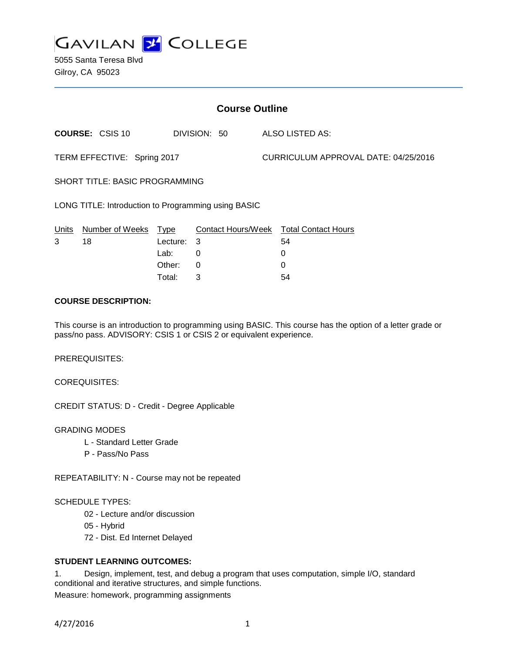

5055 Santa Teresa Blvd Gilroy, CA 95023

| <b>Course Outline</b>                               |                        |             |                           |  |                                      |  |
|-----------------------------------------------------|------------------------|-------------|---------------------------|--|--------------------------------------|--|
|                                                     | <b>COURSE: CSIS 10</b> |             | DIVISION: 50              |  | ALSO LISTED AS:                      |  |
| TERM EFFECTIVE: Spring 2017                         |                        |             |                           |  | CURRICULUM APPROVAL DATE: 04/25/2016 |  |
| <b>SHORT TITLE: BASIC PROGRAMMING</b>               |                        |             |                           |  |                                      |  |
| LONG TITLE: Introduction to Programming using BASIC |                        |             |                           |  |                                      |  |
| Units                                               | Number of Weeks        | <u>Type</u> | <b>Contact Hours/Week</b> |  | <b>Total Contact Hours</b>           |  |
| 3                                                   | 18                     | Lecture:    | 3                         |  | 54                                   |  |
|                                                     |                        | Lab:        | 0                         |  | 0                                    |  |
|                                                     |                        | Other:      | 0                         |  | 0                                    |  |
|                                                     |                        | Total:      | 3                         |  | 54                                   |  |

### **COURSE DESCRIPTION:**

This course is an introduction to programming using BASIC. This course has the option of a letter grade or pass/no pass. ADVISORY: CSIS 1 or CSIS 2 or equivalent experience.

PREREQUISITES:

COREQUISITES:

CREDIT STATUS: D - Credit - Degree Applicable

GRADING MODES

- L Standard Letter Grade
- P Pass/No Pass

REPEATABILITY: N - Course may not be repeated

SCHEDULE TYPES:

- 02 Lecture and/or discussion
- 05 Hybrid
- 72 Dist. Ed Internet Delayed

# **STUDENT LEARNING OUTCOMES:**

1. Design, implement, test, and debug a program that uses computation, simple I/O, standard conditional and iterative structures, and simple functions. Measure: homework, programming assignments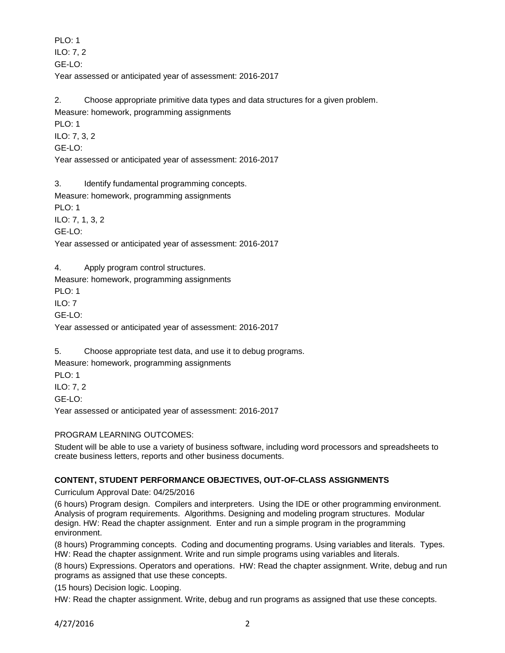PLO: 1 ILO: 7, 2 GE-LO: Year assessed or anticipated year of assessment: 2016-2017

2. Choose appropriate primitive data types and data structures for a given problem. Measure: homework, programming assignments PLO: 1 ILO: 7, 3, 2 GE-LO:

Year assessed or anticipated year of assessment: 2016-2017

3. Identify fundamental programming concepts.

Measure: homework, programming assignments

PLO: 1

ILO: 7, 1, 3, 2

GE-LO:

Year assessed or anticipated year of assessment: 2016-2017

4. Apply program control structures.

Measure: homework, programming assignments

PLO: 1

 $II$  O: 7

GE-LO:

Year assessed or anticipated year of assessment: 2016-2017

5. Choose appropriate test data, and use it to debug programs.

Measure: homework, programming assignments

PLO: 1

ILO: 7, 2

GE-LO:

Year assessed or anticipated year of assessment: 2016-2017

## PROGRAM LEARNING OUTCOMES:

Student will be able to use a variety of business software, including word processors and spreadsheets to create business letters, reports and other business documents.

## **CONTENT, STUDENT PERFORMANCE OBJECTIVES, OUT-OF-CLASS ASSIGNMENTS**

Curriculum Approval Date: 04/25/2016

(6 hours) Program design. Compilers and interpreters. Using the IDE or other programming environment. Analysis of program requirements. Algorithms. Designing and modeling program structures. Modular design. HW: Read the chapter assignment. Enter and run a simple program in the programming environment.

(8 hours) Programming concepts. Coding and documenting programs. Using variables and literals. Types. HW: Read the chapter assignment. Write and run simple programs using variables and literals.

(8 hours) Expressions. Operators and operations. HW: Read the chapter assignment. Write, debug and run programs as assigned that use these concepts.

(15 hours) Decision logic. Looping.

HW: Read the chapter assignment. Write, debug and run programs as assigned that use these concepts.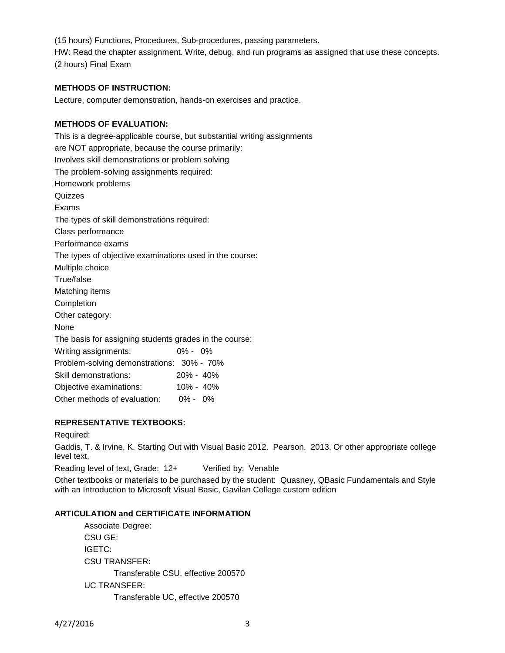(15 hours) Functions, Procedures, Sub-procedures, passing parameters. HW: Read the chapter assignment. Write, debug, and run programs as assigned that use these concepts. (2 hours) Final Exam

# **METHODS OF INSTRUCTION:**

Lecture, computer demonstration, hands-on exercises and practice.

### **METHODS OF EVALUATION:**

This is a degree-applicable course, but substantial writing assignments are NOT appropriate, because the course primarily: Involves skill demonstrations or problem solving The problem-solving assignments required: Homework problems Quizzes Exams The types of skill demonstrations required: Class performance Performance exams The types of objective examinations used in the course: Multiple choice True/false Matching items Completion Other category: None The basis for assigning students grades in the course: Writing assignments: 0% - 0% Problem-solving demonstrations: 30% - 70% Skill demonstrations: 20% - 40% Objective examinations: 10% - 40%

Other methods of evaluation: 0% - 0%

# **REPRESENTATIVE TEXTBOOKS:**

Required:

Gaddis, T. & Irvine, K. Starting Out with Visual Basic 2012. Pearson, 2013. Or other appropriate college level text.

Reading level of text, Grade: 12+ Verified by: Venable

Other textbooks or materials to be purchased by the student: Quasney, QBasic Fundamentals and Style with an Introduction to Microsoft Visual Basic, Gavilan College custom edition

## **ARTICULATION and CERTIFICATE INFORMATION**

Associate Degree: CSU GE: IGETC: CSU TRANSFER: Transferable CSU, effective 200570 UC TRANSFER: Transferable UC, effective 200570